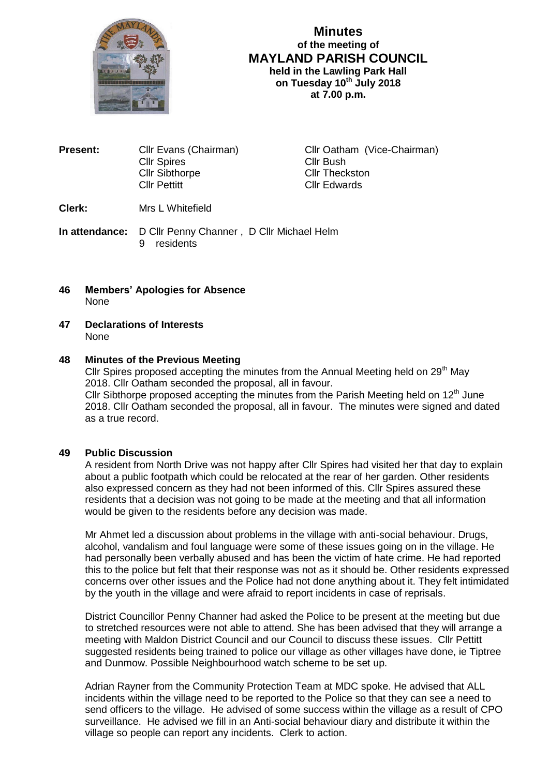

# **Minutes of the meeting of MAYLAND PARISH COUNCIL held in the Lawling Park Hall on Tuesday 10 th July 2018 at 7.00 p.m.**

| <b>Present:</b> | Cllr Evans (Chairman)<br><b>Cllr Spires</b><br><b>Cllr Sibthorpe</b><br><b>Cllr Pettitt</b> | Cllr Oatham (Vice-Chairman)<br><b>Cllr Bush</b><br><b>Cllr Theckston</b><br><b>Cllr Edwards</b> |
|-----------------|---------------------------------------------------------------------------------------------|-------------------------------------------------------------------------------------------------|
| Clerk:          | Mrs L Whitefield                                                                            |                                                                                                 |

**In attendance:** D Cllr Penny Channer , D Cllr Michael Helm 9 residents

- **46 Members' Apologies for Absence** None
- **47 Declarations of Interests** None

## **48 Minutes of the Previous Meeting**

Cllr Spires proposed accepting the minutes from the Annual Meeting held on  $29<sup>th</sup>$  May 2018. Cllr Oatham seconded the proposal, all in favour. Cllr Sibthorpe proposed accepting the minutes from the Parish Meeting held on  $12<sup>th</sup>$  June 2018. Cllr Oatham seconded the proposal, all in favour. The minutes were signed and dated as a true record.

### **49 Public Discussion**

A resident from North Drive was not happy after Cllr Spires had visited her that day to explain about a public footpath which could be relocated at the rear of her garden. Other residents also expressed concern as they had not been informed of this. Cllr Spires assured these residents that a decision was not going to be made at the meeting and that all information would be given to the residents before any decision was made.

Mr Ahmet led a discussion about problems in the village with anti-social behaviour. Drugs, alcohol, vandalism and foul language were some of these issues going on in the village. He had personally been verbally abused and has been the victim of hate crime. He had reported this to the police but felt that their response was not as it should be. Other residents expressed concerns over other issues and the Police had not done anything about it. They felt intimidated by the youth in the village and were afraid to report incidents in case of reprisals.

District Councillor Penny Channer had asked the Police to be present at the meeting but due to stretched resources were not able to attend. She has been advised that they will arrange a meeting with Maldon District Council and our Council to discuss these issues. Cllr Pettitt suggested residents being trained to police our village as other villages have done, ie Tiptree and Dunmow. Possible Neighbourhood watch scheme to be set up.

Adrian Rayner from the Community Protection Team at MDC spoke. He advised that ALL incidents within the village need to be reported to the Police so that they can see a need to send officers to the village. He advised of some success within the village as a result of CPO surveillance. He advised we fill in an Anti-social behaviour diary and distribute it within the village so people can report any incidents. Clerk to action.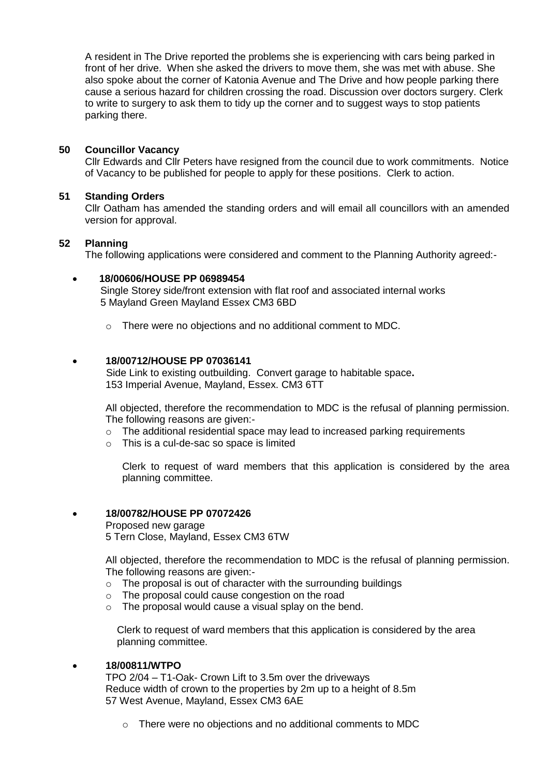A resident in The Drive reported the problems she is experiencing with cars being parked in front of her drive. When she asked the drivers to move them, she was met with abuse. She also spoke about the corner of Katonia Avenue and The Drive and how people parking there cause a serious hazard for children crossing the road. Discussion over doctors surgery. Clerk to write to surgery to ask them to tidy up the corner and to suggest ways to stop patients parking there.

## **50 Councillor Vacancy**

Cllr Edwards and Cllr Peters have resigned from the council due to work commitments. Notice of Vacancy to be published for people to apply for these positions. Clerk to action.

## **51 Standing Orders**

Cllr Oatham has amended the standing orders and will email all councillors with an amended version for approval.

### **52 Planning**

The following applications were considered and comment to the Planning Authority agreed:-

## **18/00606/HOUSE PP 06989454**

Single Storey side/front extension with flat roof and associated internal works 5 Mayland Green Mayland Essex CM3 6BD

o There were no objections and no additional comment to MDC.

## **18/00712/HOUSE PP 07036141**

 Side Link to existing outbuilding. Convert garage to habitable space**.** 153 Imperial Avenue, Mayland, Essex. CM3 6TT

All objected, therefore the recommendation to MDC is the refusal of planning permission. The following reasons are given:-

- $\circ$  The additional residential space may lead to increased parking requirements
- o This is a cul-de-sac so space is limited

Clerk to request of ward members that this application is considered by the area planning committee.

### **18/00782/HOUSE PP 07072426**

Proposed new garage 5 Tern Close, Mayland, Essex CM3 6TW

All objected, therefore the recommendation to MDC is the refusal of planning permission. The following reasons are given:-

- $\circ$  The proposal is out of character with the surrounding buildings
- o The proposal could cause congestion on the road
- $\circ$  The proposal would cause a visual splay on the bend.

 Clerk to request of ward members that this application is considered by the area planning committee.

### **18/00811/WTPO**

TPO 2/04 – T1-Oak- Crown Lift to 3.5m over the driveways Reduce width of crown to the properties by 2m up to a height of 8.5m 57 West Avenue, Mayland, Essex CM3 6AE

o There were no objections and no additional comments to MDC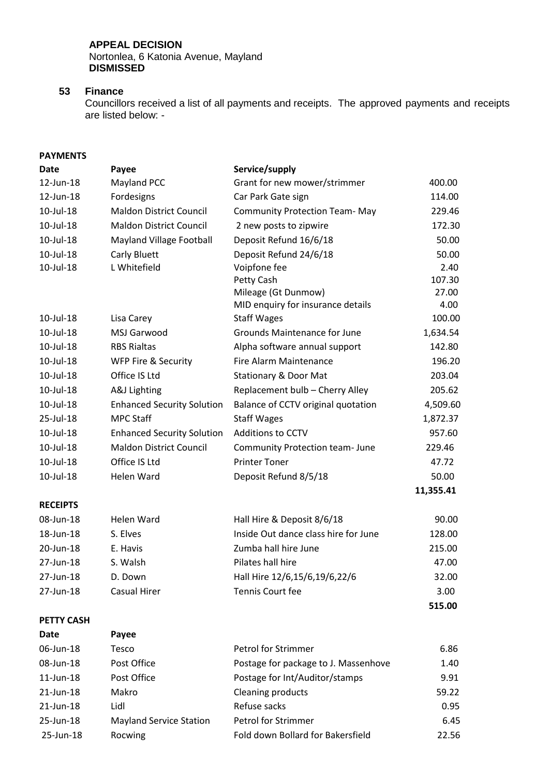## **APPEAL DECISION**

Nortonlea, 6 Katonia Avenue, Mayland **DISMISSED**

## **53 Finance**

**Date Payee**

Councillors received a list of all payments and receipts. The approved payments and receipts are listed below: -

## **PAYMENTS**

| <b>Date</b>       | Payee                             | Service/supply                       |           |
|-------------------|-----------------------------------|--------------------------------------|-----------|
| 12-Jun-18         | Mayland PCC                       | Grant for new mower/strimmer         | 400.00    |
| 12-Jun-18         | Fordesigns                        | Car Park Gate sign                   | 114.00    |
| 10-Jul-18         | <b>Maldon District Council</b>    | <b>Community Protection Team-May</b> | 229.46    |
| 10-Jul-18         | <b>Maldon District Council</b>    | 2 new posts to zipwire               | 172.30    |
| 10-Jul-18         | Mayland Village Football          | Deposit Refund 16/6/18               | 50.00     |
| 10-Jul-18         | Carly Bluett                      | Deposit Refund 24/6/18               | 50.00     |
| 10-Jul-18         | L Whitefield                      | Voipfone fee                         | 2.40      |
|                   |                                   | Petty Cash                           | 107.30    |
|                   |                                   | Mileage (Gt Dunmow)                  | 27.00     |
|                   |                                   | MID enquiry for insurance details    | 4.00      |
| 10-Jul-18         | Lisa Carey                        | <b>Staff Wages</b>                   | 100.00    |
| 10-Jul-18         | MSJ Garwood                       | <b>Grounds Maintenance for June</b>  | 1,634.54  |
| 10-Jul-18         | <b>RBS Rialtas</b>                | Alpha software annual support        | 142.80    |
| 10-Jul-18         | <b>WFP Fire &amp; Security</b>    | Fire Alarm Maintenance               | 196.20    |
| 10-Jul-18         | Office IS Ltd                     | <b>Stationary &amp; Door Mat</b>     | 203.04    |
| 10-Jul-18         | A&J Lighting                      | Replacement bulb - Cherry Alley      | 205.62    |
| 10-Jul-18         | <b>Enhanced Security Solution</b> | Balance of CCTV original quotation   | 4,509.60  |
| 25-Jul-18         | <b>MPC Staff</b>                  | <b>Staff Wages</b>                   | 1,872.37  |
| 10-Jul-18         | <b>Enhanced Security Solution</b> | <b>Additions to CCTV</b>             | 957.60    |
| 10-Jul-18         | <b>Maldon District Council</b>    | Community Protection team- June      | 229.46    |
| 10-Jul-18         | Office IS Ltd                     | <b>Printer Toner</b>                 | 47.72     |
| 10-Jul-18         | <b>Helen Ward</b>                 | Deposit Refund 8/5/18                | 50.00     |
|                   |                                   |                                      | 11,355.41 |
| <b>RECEIPTS</b>   |                                   |                                      |           |
| 08-Jun-18         | <b>Helen Ward</b>                 | Hall Hire & Deposit 8/6/18           | 90.00     |
| 18-Jun-18         | S. Elves                          | Inside Out dance class hire for June | 128.00    |
| 20-Jun-18         | E. Havis                          | Zumba hall hire June                 | 215.00    |
| 27-Jun-18         | S. Walsh                          | Pilates hall hire                    | 47.00     |
| 27-Jun-18         | D. Down                           | Hall Hire 12/6,15/6,19/6,22/6        | 32.00     |
| 27-Jun-18         | <b>Casual Hirer</b>               | Tennis Court fee                     | 3.00      |
|                   |                                   |                                      | 515.00    |
| <b>PETTY CASH</b> |                                   |                                      |           |

| 06-Jun-18 | Tesco                          | Petrol for Strimmer                  | 6.86  |
|-----------|--------------------------------|--------------------------------------|-------|
| 08-Jun-18 | Post Office                    | Postage for package to J. Massenhove | 1.40  |
| 11-Jun-18 | Post Office                    | Postage for Int/Auditor/stamps       | 9.91  |
| 21-Jun-18 | Makro                          | <b>Cleaning products</b>             | 59.22 |
| 21-Jun-18 | Lidl                           | Refuse sacks                         | 0.95  |
| 25-Jun-18 | <b>Mayland Service Station</b> | Petrol for Strimmer                  | 6.45  |
| 25-Jun-18 | Rocwing                        | Fold down Bollard for Bakersfield    | 22.56 |